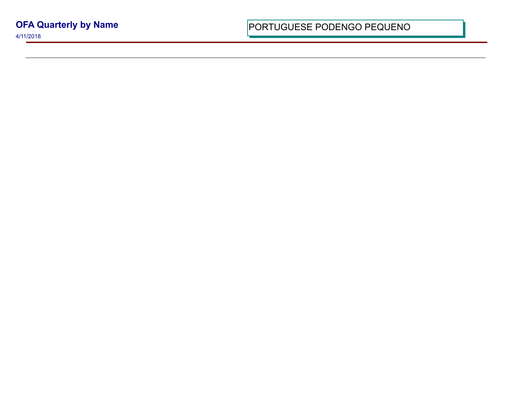4/11/2018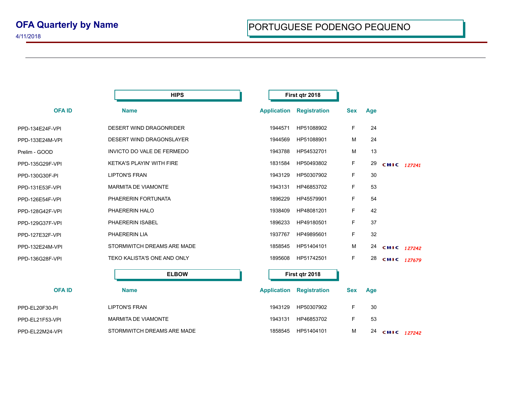| <b>HIPS</b>  | First qtr 2018                                                                                                                                                                                                                                                                                                                                                                                                            |                     |                    |     |             |  |
|--------------|---------------------------------------------------------------------------------------------------------------------------------------------------------------------------------------------------------------------------------------------------------------------------------------------------------------------------------------------------------------------------------------------------------------------------|---------------------|--------------------|-----|-------------|--|
|              |                                                                                                                                                                                                                                                                                                                                                                                                                           | <b>Registration</b> | <b>Sex</b>         | Age |             |  |
|              | 1944571                                                                                                                                                                                                                                                                                                                                                                                                                   | HP51088902          | F                  | 24  |             |  |
|              | 1944569                                                                                                                                                                                                                                                                                                                                                                                                                   | HP51088901          | M                  | 24  |             |  |
|              | 1943788                                                                                                                                                                                                                                                                                                                                                                                                                   | HP54532701          | м                  | 13  |             |  |
|              | 1831584                                                                                                                                                                                                                                                                                                                                                                                                                   | HP50493802          | F.                 | 29  | CHIC 127241 |  |
|              | 1943129                                                                                                                                                                                                                                                                                                                                                                                                                   | HP50307902          | F.                 | 30  |             |  |
|              | 1943131                                                                                                                                                                                                                                                                                                                                                                                                                   | HP46853702          | F.                 | 53  |             |  |
|              | 1896229                                                                                                                                                                                                                                                                                                                                                                                                                   | HP45579901          | F                  | 54  |             |  |
|              | 1938409                                                                                                                                                                                                                                                                                                                                                                                                                   | HP48081201          | F.                 | 42  |             |  |
|              | 1896233                                                                                                                                                                                                                                                                                                                                                                                                                   | HP49180501          | F.                 | 37  |             |  |
|              | 1937767                                                                                                                                                                                                                                                                                                                                                                                                                   | HP49895601          | F.                 | 32  |             |  |
|              | 1858545                                                                                                                                                                                                                                                                                                                                                                                                                   | HP51404101          | м                  | 24  | CHIC 127242 |  |
|              | 1895608                                                                                                                                                                                                                                                                                                                                                                                                                   | HP51742501          | F.                 | 28  | CHIC 127679 |  |
| <b>ELBOW</b> |                                                                                                                                                                                                                                                                                                                                                                                                                           | First qtr 2018      |                    |     |             |  |
|              |                                                                                                                                                                                                                                                                                                                                                                                                                           | <b>Registration</b> | <b>Sex</b>         | Age |             |  |
|              | 1943129                                                                                                                                                                                                                                                                                                                                                                                                                   | HP50307902          | F                  | 30  |             |  |
|              | 1943131                                                                                                                                                                                                                                                                                                                                                                                                                   | HP46853702          | F.                 | 53  |             |  |
|              | 1858545                                                                                                                                                                                                                                                                                                                                                                                                                   | HP51404101          | M                  | 24  | CHIC 127242 |  |
| <b>Name</b>  | <b>Name</b><br>DESERT WIND DRAGONRIDER<br>DESERT WIND DRAGONSLAYER<br>INVICTO DO VALE DE FERMEDO<br><b>KETKA'S PLAYIN' WITH FIRE</b><br><b>LIPTON'S FRAN</b><br><b>MARMITA DE VIAMONTE</b><br>PHAERERIN FORTUNATA<br>PHAERERIN HALO<br>PHAERERIN ISABEL<br>PHAERERIN LIA<br>STORMWITCH DREAMS ARE MADE<br>TEKO KALISTA'S ONE AND ONLY<br><b>LIPTON'S FRAN</b><br><b>MARMITA DE VIAMONTE</b><br>STORMWITCH DREAMS ARE MADE | <b>Application</b>  | <b>Application</b> |     |             |  |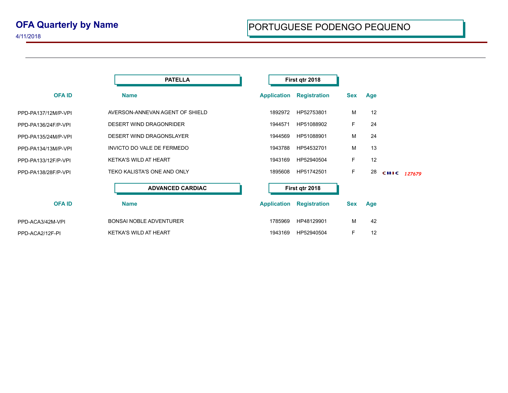4/11/2018

|                     | <b>PATELLA</b>                  | First qtr 2018     |                     |            |     |             |
|---------------------|---------------------------------|--------------------|---------------------|------------|-----|-------------|
| <b>OFAID</b>        | <b>Name</b>                     | <b>Application</b> | <b>Registration</b> | <b>Sex</b> | Age |             |
| PPD-PA137/12M/P-VPI | AVERSON-ANNEVAN AGENT OF SHIELD | 1892972            | HP52753801          | M          | 12  |             |
| PPD-PA136/24F/P-VPI | DESERT WIND DRAGONRIDER         | 1944571            | HP51088902          | F.         | 24  |             |
| PPD-PA135/24M/P-VPI | DESERT WIND DRAGONSLAYER        | 1944569            | HP51088901          | M          | 24  |             |
| PPD-PA134/13M/P-VPI | INVICTO DO VALE DE FERMEDO      | 1943788            | HP54532701          | M          | 13  |             |
| PPD-PA133/12F/P-VPI | <b>KETKA'S WILD AT HEART</b>    | 1943169            | HP52940504          | F.         | 12  |             |
| PPD-PA138/28F/P-VPI | TEKO KALISTA'S ONE AND ONLY     | 1895608            | HP51742501          | F          | 28  | CHIC 127679 |
|                     | <b>ADVANCED CARDIAC</b>         |                    | First qtr 2018      |            |     |             |
| <b>OFAID</b>        | <b>Name</b>                     | <b>Application</b> | <b>Registration</b> | <b>Sex</b> | Age |             |
| PPD-ACA3/42M-VPI    | <b>BONSAI NOBLE ADVENTURER</b>  | 1785969            | HP48129901          | M          | 42  |             |
| PPD-ACA2/12F-PI     | <b>KETKA'S WILD AT HEART</b>    | 1943169            | HP52940504          | F          | 12  |             |